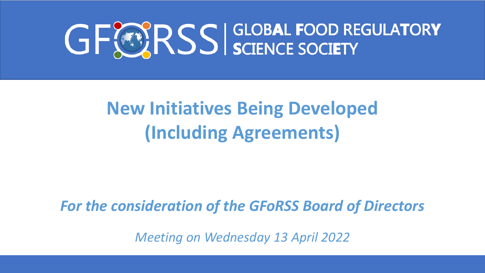# GFORSS SCIENCE SOCIETY

## **New Initiatives Being Developed (Including Agreements)**

## *For the consideration of the GFoRSS Board of Directors*

*Meeting on Wednesday 13 April 2022*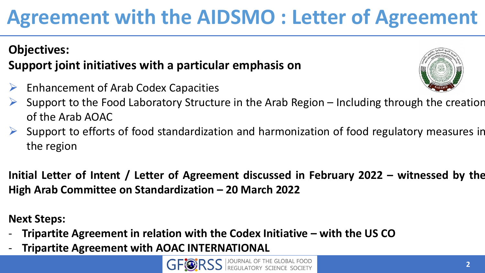**Agreement with the AIDSMO : Letter of Agreement** 

## **Objectives: Support joint initiatives with a particular emphasis on**

- $\triangleright$  Enhancement of Arab Codex Capacities
- Support to the Food Laboratory Structure in the Arab Region Including through the creation of the Arab AOAC
- Support to efforts of food standardization and harmonization of food regulatory measures in the region

**Initial Letter of Intent / Letter of Agreement discussed in February 2022 – witnessed by the High Arab Committee on Standardization – 20 March 2022**

**Next Steps:**

- **Tripartite Agreement in relation with the Codex Initiative – with the US CO**
- **Tripartite Agreement with AOAC INTERNATIONAL**



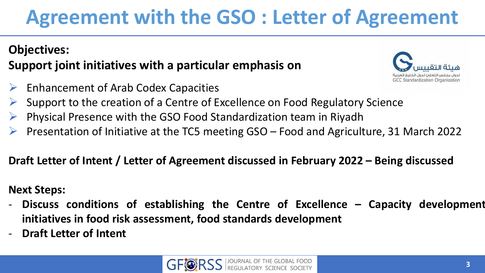# **Agreement with the GSO : Letter of Agreement**

#### **Objectives: Support joint initiatives with a particular emphasis on**

- $\triangleright$  Enhancement of Arab Codex Capacities
- Support to the creation of a Centre of Excellence on Food Regulatory Science
- Physical Presence with the GSO Food Standardization team in Riyadh
- Presentation of Initiative at the TC5 meeting GSO Food and Agriculture, 31 March 2022

#### **Draft Letter of Intent / Letter of Agreement discussed in February 2022 – Being discussed**

#### **Next Steps:**

- **Discuss conditions of establishing the Centre of Excellence – Capacity development initiatives in food risk assessment, food standards development**
- **Draft Letter of Intent**



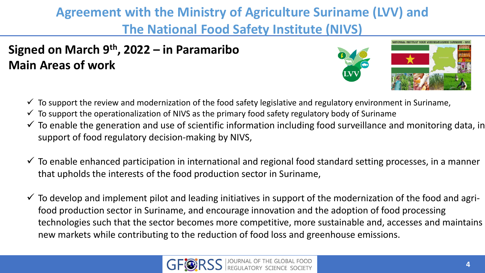#### **Agreement with the Ministry of Agriculture Suriname (LVV) and The National Food Safety Institute (NIVS)**

#### **Signed on March 9 th , 2022 – in Paramaribo Main Areas of work**



- $\checkmark$  To support the review and modernization of the food safety legislative and regulatory environment in Suriname,
- $\checkmark$  To support the operationalization of NIVS as the primary food safety regulatory body of Suriname
- $\checkmark$  To enable the generation and use of scientific information including food surveillance and monitoring data, in support of food regulatory decision-making by NIVS,
- $\checkmark$  To enable enhanced participation in international and regional food standard setting processes, in a manner that upholds the interests of the food production sector in Suriname,
- $\checkmark$  To develop and implement pilot and leading initiatives in support of the modernization of the food and agrifood production sector in Suriname, and encourage innovation and the adoption of food processing technologies such that the sector becomes more competitive, more sustainable and, accesses and maintains new markets while contributing to the reduction of food loss and greenhouse emissions.